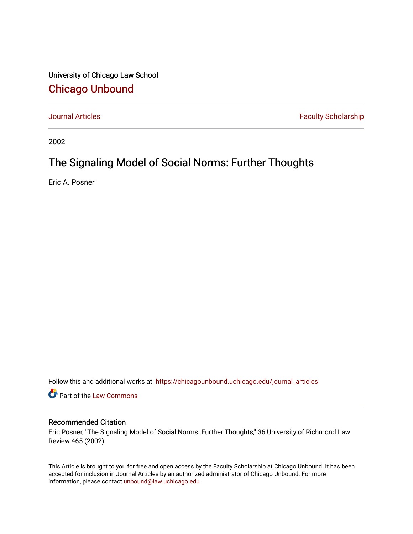University of Chicago Law School [Chicago Unbound](https://chicagounbound.uchicago.edu/)

[Journal Articles](https://chicagounbound.uchicago.edu/journal_articles) **Faculty Scholarship Faculty Scholarship** 

2002

# The Signaling Model of Social Norms: Further Thoughts

Eric A. Posner

Follow this and additional works at: [https://chicagounbound.uchicago.edu/journal\\_articles](https://chicagounbound.uchicago.edu/journal_articles?utm_source=chicagounbound.uchicago.edu%2Fjournal_articles%2F1731&utm_medium=PDF&utm_campaign=PDFCoverPages) 

Part of the [Law Commons](http://network.bepress.com/hgg/discipline/578?utm_source=chicagounbound.uchicago.edu%2Fjournal_articles%2F1731&utm_medium=PDF&utm_campaign=PDFCoverPages)

# Recommended Citation

Eric Posner, "The Signaling Model of Social Norms: Further Thoughts," 36 University of Richmond Law Review 465 (2002).

This Article is brought to you for free and open access by the Faculty Scholarship at Chicago Unbound. It has been accepted for inclusion in Journal Articles by an authorized administrator of Chicago Unbound. For more information, please contact [unbound@law.uchicago.edu](mailto:unbound@law.uchicago.edu).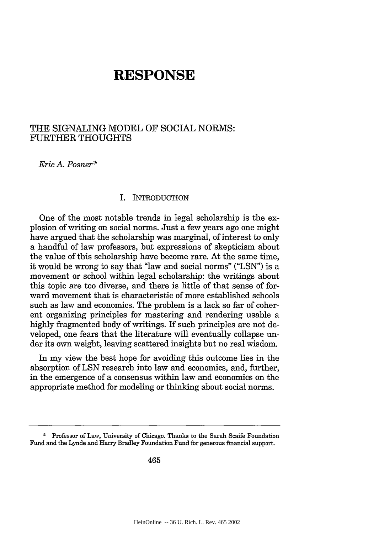# **RE SPONSE**

# THE SIGNALING MODEL OF SOCIAL NORMS: FURTHER THOUGHTS

*Eric A. Posner\**

## I. INTRODUCTION

One of the most notable trends in legal scholarship is the explosion of writing on social norms. Just a few years ago one might have argued that the scholarship was marginal, of interest to only a handful of law professors, but expressions of skepticism about the value of this scholarship have become rare. At the same time, it would be wrong to say that "law and social norms" ("LSN") is a movement or school within legal scholarship: the writings about this topic are too diverse, and there is little of that sense of forward movement that is characteristic of more established schools such as law and economics. The problem is a lack so far of coherent organizing principles for mastering and rendering usable a highly fragmented body of writings. If such principles are not developed, one fears that the literature will eventually collapse under its own weight, leaving scattered insights but no real wisdom.

In my view the best hope for avoiding this outcome lies in the absorption of LSN research into law and economics, and, further, in the emergence of a consensus within law and economics on the appropriate method for modeling or thinking about social norms.

<sup>\*</sup> Professor of Law, University of Chicago. Thanks to the Sarah Scaife Foundation Fund and the Lynde and Harry Bradley Foundation Fund for generous financial support.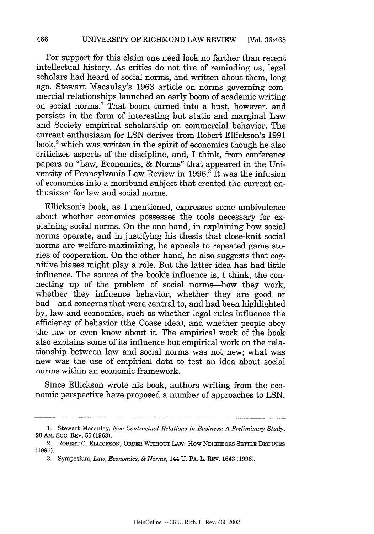For support for this claim one need look no farther than recent intellectual history. As critics do not tire of reminding us, legal scholars had heard of social norms, and written about them, long ago. Stewart Macaulay's 1963 article on norms governing commercial relationships launched an early boom of academic writing on social norms.' That boom turned into a bust, however, and persists in the form of interesting but static and marginal Law and Society empirical scholarship on commercial behavior. The current enthusiasm for LSN derives from Robert Ellickson's 1991 book,<sup>2</sup> which was written in the spirit of economics though he also criticizes aspects of the discipline, and, I think, from conference papers on "Law, Economics, & Norms" that appeared in the University of Pennsylvania Law Review in 1996.' It was the infusion of economics into a moribund subject that created the current enthusiasm for law and social norms.

Ellickson's book, as I mentioned, expresses some ambivalence about whether economics possesses the tools necessary for explaining social norms. On the one hand, in explaining how social norms operate, and in justifying his thesis that close-knit social norms are welfare-maximizing, he appeals to repeated game stories of cooperation. On the other hand, he also suggests that cognitive biases might play a role. But the latter idea has had little influence. The source of the book's influence is, I think, the connecting up of the problem of social norms-how they work, whether they influence behavior, whether they are good or bad-and concerns that were central to, and had been highlighted by, law and economics, such as whether legal rules influence the efficiency of behavior (the Coase idea), and whether people obey the law or even know about it. The empirical work of the book also explains some of its influence but empirical work on the relationship between law and social norms was not new; what was new was the use of empirical data to test an idea about social norms within an economic framework.

Since Ellickson wrote his book, authors writing from the economic perspective have proposed a number of approaches to LSN.

**<sup>1.</sup>** Stewart Macaulay, *Non-Contractual Relations in Business: A Preliminary Study,* **28** AM. Soc. REV. **55 (1963).**

<sup>2.</sup> ROBERT C. ELLICKSON, ORDER WITHOUT LAW: How NEIGHBORS SETLE DISPUTES (1991).

**<sup>3.</sup>** Symposium, *Law, Economics, & Norms,* 144 U. PA. L. REV. 1643 (1996).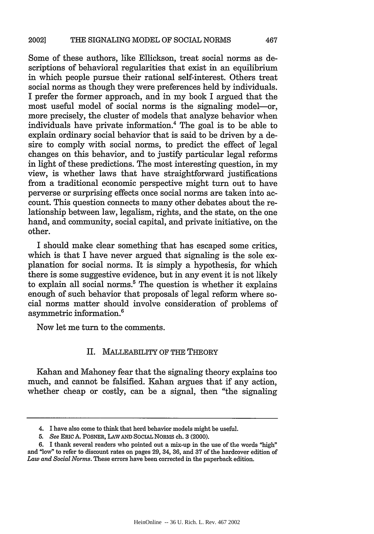Some of these authors, like Ellickson, treat social norms as descriptions of behavioral regularities that exist in an equilibrium in which people pursue their rational self-interest. Others treat social norms as though they were preferences held by individuals. I prefer the former approach, and in my book I argued that the most useful model of social norms is the signaling model-or, more precisely, the cluster of models that analyze behavior when individuals have private information.' The goal is to be able to explain ordinary social behavior that is said to be driven by a desire to comply with social norms, to predict the effect of legal changes on this behavior, and to justify particular legal reforms in light of these predictions. The most interesting question, in my view, is whether laws that have straightforward justifications from a traditional economic perspective might turn out to have perverse or surprising effects once social norms are taken into account. This question connects to many other debates about the relationship between law, legalism, rights, and the state, on the one hand, and community, social capital, and private initiative, on the other.

I should make clear something that has escaped some critics, which is that I have never argued that signaling is the sole explanation for social norms. It is simply a hypothesis, for which there is some suggestive evidence, but in any event it is not likely to explain all social norms.<sup>5</sup> The question is whether it explains enough of such behavior that proposals of legal reform where social norms matter should involve consideration of problems of asymmetric information.6

Now let me turn to the comments.

### II. MALLEABILITY OF THE THEORY

Kahan and Mahoney fear that the signaling theory explains too much, and cannot be falsified. Kahan argues that if any action, whether cheap or costly, can be a signal, then "the signaling

<sup>4.</sup> I have also come to think that herd behavior models might be useful.

*<sup>5.</sup> See* ERIC **A.** POSNER, LAW **AND** SOCIAL NORMS ch. 3 (2000).

<sup>6.</sup> I thank several readers who pointed out a mix-up in the use of the words "high" and "low" to refer to discount rates on pages 29, 34, **36,** and 37 of the hardcover edition of *Law and Social Norms.* These errors have been corrected in the paperback edition.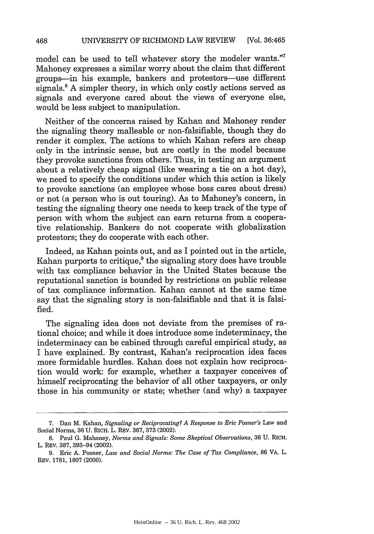model can be used to tell whatever story the modeler wants."<sup>7</sup> Mahoney expresses a similar worry about the claim that different groups-in his example, bankers and protestors-use different signals.<sup>8</sup> A simpler theory, in which only costly actions served as signals and everyone cared about the views of everyone else, would be less subject to manipulation.

Neither of the concerns raised by Kahan and Mahoney render the signaling theory malleable or non-falsifiable, though they do render it complex. The actions to which Kahan refers are cheap only in the intrinsic sense, but are costly in the model because they provoke sanctions from others. Thus, in testing an argument about a relatively cheap signal (like wearing a tie on a hot day), we need to specify the conditions under which this action is likely to provoke sanctions (an employee whose boss cares about dress) or not (a person who is out touring). As to Mahoney's concern, in testing the signaling theory one needs to keep track of the type of person with whom the subject can earn returns from a cooperative relationship. Bankers do not cooperate with globalization protestors; they do cooperate with each other.

Indeed, as Kahan points out, and as I pointed out in the article, Kahan purports to critique, $9$  the signaling story does have trouble with tax compliance behavior in the United States because the reputational sanction is bounded by restrictions on public release of tax compliance information. Kahan cannot at the same time say that the signaling story is non-falsifiable and that it is falsified.

The signaling idea does not deviate from the premises of rational choice; and while it does introduce some indeterminacy, the indeterminacy can be cabined through careful empirical study, as I have explained. By contrast, Kahan's reciprocation idea faces more formidable hurdles. Kahan does not explain how reciprocation would work: for example, whether a taxpayer conceives of himself reciprocating the behavior of all other taxpayers, or only those in his community or state; whether (and why) a taxpayer

**<sup>7.</sup>** Dan M. Kahan, *Signaling or Reciprocating? A Response to Eric Posner's* Law and Social Norms, **36 U.** RICH. L. REV. **367, 373** (2002).

**<sup>8.</sup>** Paul **G.** Mahoney, *Norms and Signals: Some Skeptical Observations,* **36 U.** RICH. L. REV. **387,** 393-94 (2002).

**<sup>9.</sup>** Eric **A.** Posner, *Law and Social Norms: The Case of Tax Compliance,* **86** VA. L. REV. **1781, 1807** (2000).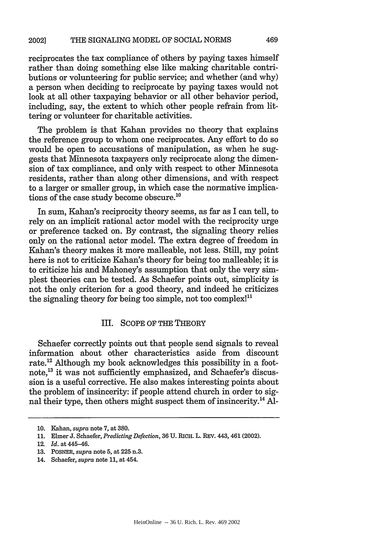reciprocates the tax compliance of others by paying taxes himself rather than doing something else like making charitable contributions or volunteering for public service; and whether (and why) a person when deciding to reciprocate by paying taxes would not look at all other taxpaying behavior or all other behavior period, including, say, the extent to which other people refrain from littering or volunteer for charitable activities.

The problem is that Kahan provides no theory that explains the reference group to whom one reciprocates. Any effort to do so would be open to accusations of manipulation, as when he suggests that Minnesota taxpayers only reciprocate along the dimension of tax compliance, and only with respect to other Minnesota residents, rather than along other dimensions, and with respect to a larger or smaller group, in which case the normative implications of the case study become obscure.'

In sum, Kahan's reciprocity theory seems, as far as I can tell, to rely on an implicit rational actor model with the reciprocity urge or preference tacked on. By contrast, the signaling theory relies only on the rational actor model. The extra degree of freedom in Kahan's theory makes it more malleable, not less. Still, my point here is not to criticize Kahan's theory for being too malleable; it is to criticize his and Mahoney's assumption that only the very simplest theories can be tested. As Schaefer points out, simplicity is not the only criterion for a good theory, and indeed he criticizes the signaling theory for being too simple, not too complex!<sup>11</sup>

# III. SCOPE OF THE THEORY

Schaefer correctly points out that people send signals to reveal information about other characteristics aside from discount rate.<sup>12</sup> Although my book acknowledges this possibility in a footnote,<sup>13</sup> it was not sufficiently emphasized, and Schaefer's discussion is a useful corrective. He also makes interesting points about the problem of insincerity: if people attend church in order to signal their type, then others might suspect them of insincerity.<sup>14</sup> Al-

12. *Id.* at 445-46.

14. Schaefer, *supra* note 11, at 454.

**<sup>10.</sup>** Kahan, *supra* note 7, at 380.

**<sup>11.</sup>** Elmer J. Schaefer, *Predicting Defection,* 36 U. RICH. L. REV. 443, 461 (2002).

<sup>13.</sup> POSNER, *supra* note 5, at 225 n.3.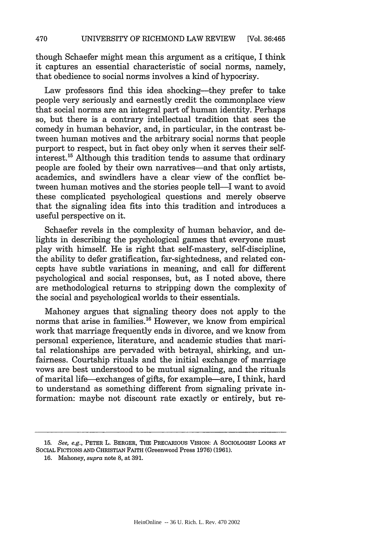though Schaefer might mean this argument as a critique, I think it captures an essential characteristic of social norms, namely, that obedience to social norms involves a kind of hypocrisy.

Law professors find this idea shocking-they prefer to take people very seriously and earnestly credit the commonplace view that social norms are an integral part of human identity. Perhaps so, but there is a contrary intellectual tradition that sees the comedy in human behavior, and, in particular, in the contrast between human motives and the arbitrary social norms that people purport to respect, but in fact obey only when it serves their selfinterest.<sup>15</sup> Although this tradition tends to assume that ordinary people are fooled by their own narratives-and that only artists, academics, and swindlers have a clear view of the conflict between human motives and the stories people tell—I want to avoid these complicated psychological questions and merely observe that the signaling idea fits into this tradition and introduces a useful perspective on it.

Schaefer revels in the complexity of human behavior, and delights in describing the psychological games that everyone must play with himself. He is right that self-mastery, self-discipline, the ability to defer gratification, far-sightedness, and related concepts have subtle variations in meaning, and call for different psychological and social responses, but, as I noted above, there are methodological returns to stripping down the complexity of the social and psychological worlds to their essentials.

Mahoney argues that signaling theory does not apply to the norms that arise in families.<sup>16</sup> However, we know from empirical work that marriage frequently ends in divorce, and we know from personal experience, literature, and academic studies that marital relationships are pervaded with betrayal, shirking, and unfairness. Courtship rituals and the initial exchange of marriage vows are best understood to be mutual signaling, and the rituals of marital life-exchanges of gifts, for example-are, I think, hard to understand as something different from signaling private information: maybe not discount rate exactly or entirely, but re-

**16.** Mahoney, *supra* note 8, at **391.**

**<sup>15.</sup>** *See, e.g.,* PETER L. BERGER, **THE** PRECARIOUS VISION: **A** SOCIOLOGIST LOOKS **AT** SOCIAL FICTIONS **AND** CHRISTIAN FAITH (Greenwood Press **1976) (1961).**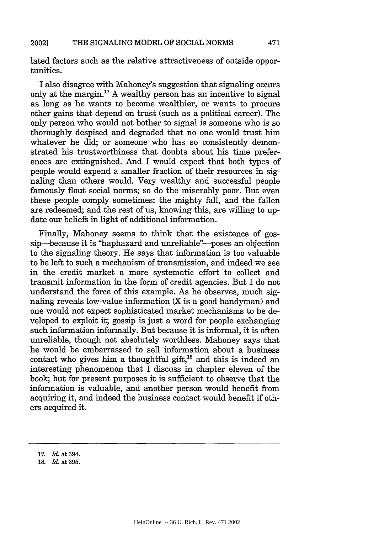lated factors such as the relative attractiveness of outside opportunities.

I also disagree with Mahoney's suggestion that signaling occurs only at the margin.17 **A** wealthy person has an incentive to signal as long as he wants to become wealthier, or wants to procure other gains that depend on trust (such as a political career). The only person who would not bother to signal is someone who is so thoroughly despised and degraded that no one would trust him whatever he did; or someone who has so consistently demonstrated his trustworthiness that doubts about his time preferences are extinguished. And I would expect that both types of people would expend a smaller fraction of their resources in signaling than others would. Very wealthy and successful people famously flout social norms; so do the miserably poor. But even these people comply sometimes: the mighty fall, and the fallen are redeemed; and the rest of us, knowing this, are willing to update our beliefs in light of additional information.

Finally, Mahoney seems to think that the existence of gossip-because it is "haphazard and unreliable"--poses an objection to the signaling theory. He says that information is too valuable to be left to such a mechanism of transmission, and indeed we see in the credit market a more systematic effort to collect and transmit information in the form of credit agencies. But I do not understand the force of this example. As he observes, much signaling reveals low-value information (X is a good handyman) and one would not expect sophisticated market mechanisms to be developed to exploit it; gossip is just a word for people exchanging such information informally. But because it is informal, it is often unreliable, though not absolutely worthless. Mahoney says that he would be embarrassed to sell information about a business contact who gives him a thoughtful gift,<sup>18</sup> and this is indeed an interesting phenomenon that I discuss in chapter eleven of the book; but for present purposes it is sufficient to observe that the information is valuable, and another person would benefit from acquiring it, and indeed the business contact would benefit if others acquired it.

**<sup>17.</sup>** *Id.* at **394.**

**<sup>18.</sup>** *Id.* at **395.**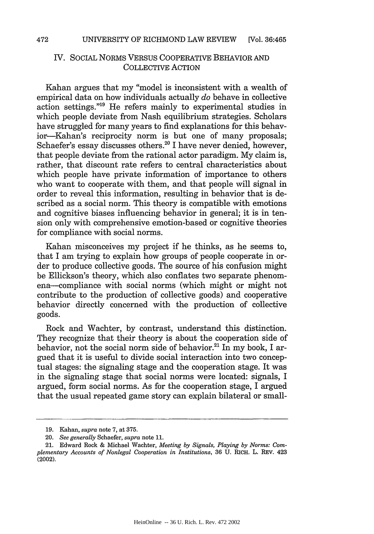# IV. SOCIAL NORMS VERSUS COOPERATIVE BEHAVIOR AND COLLECTIVE ACTION

Kahan argues that my "model is inconsistent with a wealth of empirical data on how individuals actually *do* behave in collective action settings."<sup>19</sup> He refers mainly to experimental studies in which people deviate from Nash equilibrium strategies. Scholars have struggled for many years to find explanations for this behavior-Kahan's reciprocity norm is but one of many proposals; Schaefer's essay discusses others. $^{20}$  I have never denied, however, that people deviate from the rational actor paradigm. My claim is, rather, that discount rate refers to central characteristics about which people have private information of importance to others who want to cooperate with them, and that people will signal in order to reveal this information, resulting in behavior that is described as a social norm. This theory is compatible with emotions and cognitive biases influencing behavior in general; it is in tension only with comprehensive emotion-based or cognitive theories for compliance with social norms.

Kahan misconceives my project if he thinks, as he seems to, that I am trying to explain how groups of people cooperate in order to produce collective goods. The source of his confusion might be Ellickson's theory, which also conflates two separate phenomena--compliance with social norms (which might or might not contribute to the production of collective goods) and cooperative behavior directly concerned with the production of collective goods.

Rock and Wachter, by contrast, understand this distinction. They recognize that their theory is about the cooperation side of behavior, not the social norm side of behavior.<sup>21</sup> In my book, I argued that it is useful to divide social interaction into two conceptual stages: the signaling stage and the cooperation stage. It was in the signaling stage that social norms were located: signals, I argued, form social norms. As for the cooperation stage, I argued that the usual repeated game story can explain bilateral or small-

<sup>19.</sup> Kahan, *supra* note 7, at 375.

<sup>20.</sup> *See generally* Schaefer, *supra* note 11.

<sup>21.</sup> Edward Rock & Michael Wachter, *Meeting by Signals, Playing by Norms: Complementary Accounts of Nonlegal Cooperation in Institutions,* 36 U. RICH. L. REV. 423 (2002).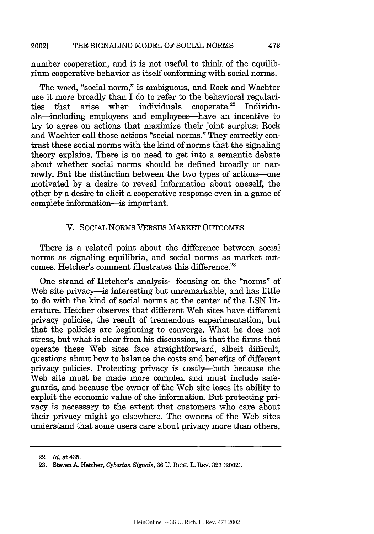number cooperation, and it is not useful to think of the equilibrium cooperative behavior as itself conforming with social norms.

The word, "social norm," is ambiguous, and Rock and Wachter use it more broadly than I do to refer to the behavioral regularities that arise when individuals cooperate.<sup>22</sup> Individu $individuals$  cooperate.<sup>22</sup> Individuals-including employers and employees-have an incentive to try to agree on actions that maximize their joint surplus: Rock and Wachter call those actions "social norms." They correctly contrast these social norms with the kind of norms that the signaling theory explains. There is no need to get into a semantic debate about whether social norms should be defined broadly or narrowly. But the distinction between the two types of actions-one motivated by a desire to reveal information about oneself, the other by a desire to elicit a cooperative response even in a game of complete information-is important.

# V. SOCIAL NORMS VERSUS MARKET OUTCOMES

There is a related point about the difference between social norms as signaling equilibria, and social norms as market outcomes. Hetcher's comment illustrates this difference.<sup>23</sup>

One strand of Hetcher's analysis-focusing on the "norms" of Web site privacy—is interesting but unremarkable, and has little to do with the kind of social norms at the center of the LSN literature. Hetcher observes that different Web sites have different privacy policies, the result of tremendous experimentation, but that the policies are beginning to converge. What he does not stress, but what is clear from his discussion, is that the firms that operate these Web sites face straightforward, albeit difficult, questions about how to balance the costs and benefits of different privacy policies. Protecting privacy is costly-both because the Web site must be made more complex and must include safeguards, and because the owner of the Web site loses its ability to exploit the economic value of the information. But protecting privacy is necessary to the extent that customers who care about their privacy might go elsewhere. The owners of the Web sites understand that some users care about privacy more than others,

<sup>22.</sup> *Id.* at 435.

<sup>23.</sup> Steven **A.** Hetcher, *Cyberian Signals,* 36 U. RICH. L. REV. 327 (2002).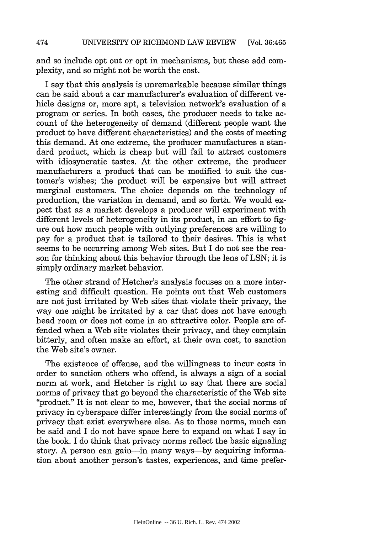and so include opt out or opt in mechanisms, but these add complexity, and so might not be worth the cost.

I say that this analysis is unremarkable because similar things can be said about a car manufacturer's evaluation of different vehicle designs or, more apt, a television network's evaluation of a program or series. In both cases, the producer needs to take account of the heterogeneity of demand (different people want the product to have different characteristics) and the costs of meeting this demand. At one extreme, the producer manufactures a standard product, which is cheap but will fail to attract customers with idiosyncratic tastes. At the other extreme, the producer manufacturers a product that can be modified to suit the customer's wishes; the product will be expensive but will attract marginal customers. The choice depends on the technology of production, the variation in demand, and so forth. We would expect that as a market develops a producer will experiment with different levels of heterogeneity in its product, in an effort to figure out how much people with outlying preferences are willing to pay for a product that is tailored to their desires. This is what seems to be occurring among Web sites. But I do not see the reason for thinking about this behavior through the lens of LSN; it is simply ordinary market behavior.

The other strand of Hetcher's analysis focuses on a more interesting and difficult question. He points out that Web customers are not just irritated by Web sites that violate their privacy, the way one might be irritated by a car that does not have enough head room or does not come in an attractive color. People are offended when a Web site violates their privacy, and they complain bitterly, and often make an effort, at their own cost, to sanction the Web site's owner.

The existence of offense, and the willingness to incur costs in order to sanction others who offend, is always a sign of a social norm at work, and Hetcher is right to say that there are social norms of privacy that go beyond the characteristic of the Web site "product." It is not clear to me, however, that the social norms of privacy in cyberspace differ interestingly from the social norms of privacy that exist everywhere else. As to those norms, much can be said and I do not have space here to expand on what I say in the book. I do think that privacy norms reflect the basic signaling story. A person can gain-in many ways-by acquiring information about another person's tastes, experiences, and time prefer-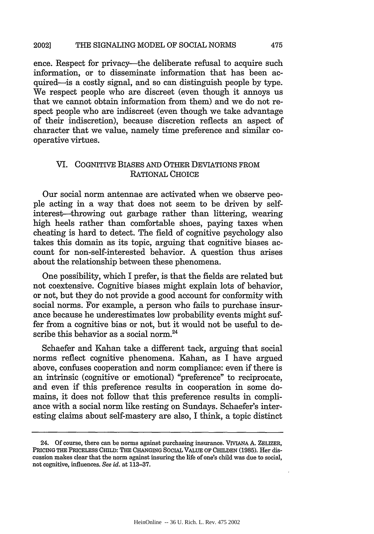#### THE SIGNALING MODEL OF SOCIAL NORMS 20021

ence. Respect for privacy—the deliberate refusal to acquire such information, or to disseminate information that has been acquired-is a costly signal, and so can distinguish people by type. We respect people who are discreet (even though it annoys us that we cannot obtain information from them) and we do not respect people who are indiscreet (even though we take advantage of their indiscretion), because discretion reflects an aspect of character that we value, namely time preference and similar cooperative virtues.

# VI. COGNITIVE BIASES AND OTHER DEVIATIONS FROM RATIONAL CHOICE

Our social norm antennae are activated when we observe people acting in a way that does not seem to be driven by selfinterest-throwing out garbage rather than littering, wearing high heels rather than comfortable shoes, paying taxes when cheating is hard to detect. The field of cognitive psychology also takes this domain as its topic, arguing that cognitive biases account for non-self-interested behavior. A question thus arises about the relationship between these phenomena.

One possibility, which I prefer, is that the fields are related but not coextensive. Cognitive biases might explain lots of behavior, or not, but they do not provide a good account for conformity with social norms. For example, a person who fails to purchase insurance because he underestimates low probability events might suffer from a cognitive bias or not, but it would not be useful to describe this behavior as a social norm.<sup>24</sup>

Schaefer and Kahan take a different tack, arguing that social norms reflect cognitive phenomena. Kahan, as I have argued above, confuses cooperation and norm compliance: even if there is an intrinsic (cognitive or emotional) "preference" to reciprocate, and even if this preference results in cooperation in some domains, it does not follow that this preference results in compliance with a social norm like resting on Sundays. Schaefer's interesting claims about self-mastery are also, I think, a topic distinct

<sup>24.</sup> Of course, there can be norms against purchasing insurance. VIVIANA A. ZELIZER, PRICING THE PRICELESS CHILD: THE CHANGING SOCIAL VALUE OF CHILDEN (1985). Her discussion makes clear that the norm against insuring the life of one's child was due to social, not cognitive, influences. See id. at 113-37.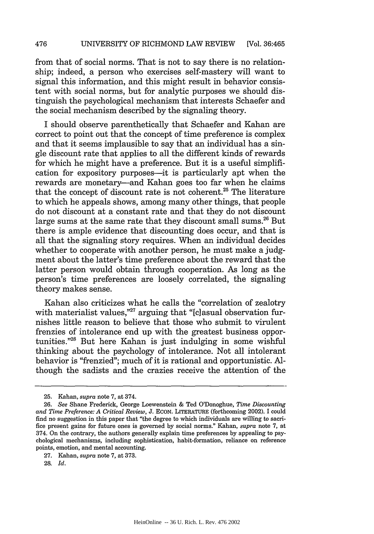### 476 UNIVERSITY OF RICHMOND LAW REVIEW [Vol. 36:465

from that of social norms. That is not to say there is no relationship; indeed, a person who exercises self-mastery will want to signal this information, and this might result in behavior consistent with social norms, but for analytic purposes we should distinguish the psychological mechanism that interests Schaefer and the social mechanism described by the signaling theory.

I should observe parenthetically that Schaefer and Kahan are correct to point out that the concept of time preference is complex and that it seems implausible to say that an individual has a single discount rate that applies to all the different kinds of rewards for which he might have a preference. But it is a useful simplification for expository purposes—it is particularly apt when the rewards are monetary—and Kahan goes too far when he claims that the concept of discount rate is not coherent.<sup>25</sup> The literature to which he appeals shows, among many other things, that people do not discount at a constant rate and that they do not discount large sums at the same rate that they discount small sums.<sup>26</sup> But there is ample evidence that discounting does occur, and that is all that the signaling story requires. When an individual decides whether to cooperate with another person, he must make a judgment about the latter's time preference about the reward that the latter person would obtain through cooperation. As long as the person's time preferences are loosely correlated, the signaling theory makes sense.

Kahan also criticizes what he calls the "correlation of zealotry with materialist values,"<sup>27</sup> arguing that "[c]asual observation furnishes little reason to believe that those who submit to virulent frenzies of intolerance end up with the greatest business opportunities."28 But here Kahan is just indulging in some wishful thinking about the psychology of intolerance. Not all intolerant behavior is "frenzied"; much of it is rational and opportunistic. Although the sadists and the crazies receive the attention of the

<sup>25.</sup> Kahan, *supra* note 7, at 374.

<sup>26.</sup> *See* Shane Frederick, George Loewenstein & Ted O'Donoghue, *Time Discounting and Time Preference: A Critical Review,* J. **ECON.** LITERATURE (forthcoming 2002). I could find no suggestion in this paper that "the degree to which individuals are willing to sacrifice present gains for future ones is governed by social norms." Kahan, *supra* note 7, at 374. On the contrary, the authors generally explain time preferences by appealing to psychological mechanisms, including sophistication, habit-formation, reliance on reference points, emotion, and mental accounting.

<sup>27.</sup> Kahan, *supra* note 7, at 373.

<sup>28.</sup> *Id.*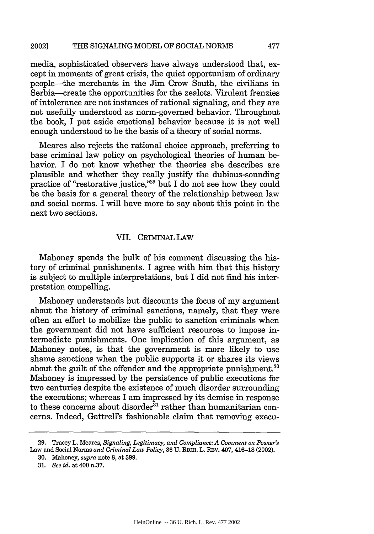#### THE SIGNALING MODEL OF SOCIAL NORMS 2002]

media, sophisticated observers have always understood that, except in moments of great crisis, the quiet opportunism of ordinary people-the merchants in the Jim Crow South, the civilians in Serbia—create the opportunities for the zealots. Virulent frenzies of intolerance are not instances of rational signaling, and they are not usefully understood as norm-governed behavior. Throughout the book, I put aside emotional behavior because it is not well enough understood to be the basis of a theory of social norms.

Meares also rejects the rational choice approach, preferring to base criminal law policy on psychological theories of human behavior. I do not know whether the theories she describes are plausible and whether they really justify the dubious-sounding practice of "restorative justice,"29 but I do not see how they could be the basis for a general theory of the relationship between law and social norms. I will have more to say about this point in the next two sections.

### VII. CRIMINAL LAW

Mahoney spends the bulk of his comment discussing the history of criminal punishments. I agree with him that this history is subject to multiple interpretations, but I did not find his interpretation compelling.

Mahoney understands but discounts the focus of my argument about the history of criminal sanctions, namely, that they were often an effort to mobilize the public to sanction criminals when the government did not have sufficient resources to impose intermediate punishments. One implication of this argument, as Mahoney notes, is that the government is more likely to use shame sanctions when the public supports it or shares its views about the guilt of the offender and the appropriate punishment.<sup>30</sup> Mahoney is impressed by the persistence of public executions for two centuries despite the existence of much disorder surrounding the executions; whereas I am impressed by its demise in response to these concerns about disorder<sup>31</sup> rather than humanitarian concerns. Indeed, Gattrell's fashionable claim that removing execu-

477

<sup>29.</sup> Tracey L. Meares, *Signaling, Legitimacy, and Compliance: A Comment on Posner's* Law and Social Norms *and Criminal Law Policy,* 36 U. RICH. L. REV. 407, 416-18 (2002).

<sup>30.</sup> Mahoney, *supra* note **8,** at 399.

*<sup>31.</sup> See id.* at 400 n.37.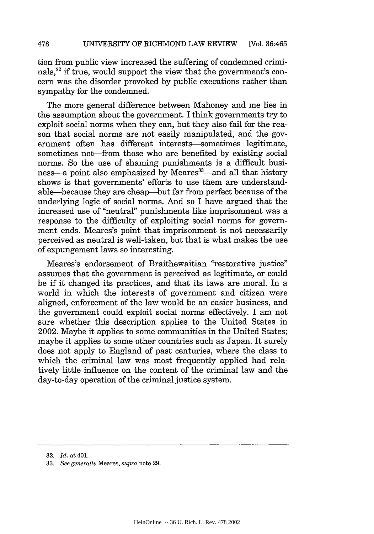## **478** UNIVERSITY OF RICHMOND LAW REVIEW [Vol. 36:465

tion from public view increased the suffering of condemned criminals,<sup>32</sup> if true, would support the view that the government's concern was the disorder provoked by public executions rather than sympathy for the condemned.

The more general difference between Mahoney and me lies in the assumption about the government. I think governments try to exploit social norms when they can, but they also fail for the reason that social norms are not easily manipulated, and the government often has different interests-sometimes legitimate, sometimes not—from those who are benefited by existing social norms. So the use of shaming punishments is a difficult business-a point also emphasized by Meares<sup>33</sup>--and all that history shows is that governments' efforts to use them are understandable--because they are cheap-but far from perfect because of the underlying logic of social norms. And so I have argued that the increased use of "neutral" punishments like imprisonment was a response to the difficulty of exploiting social norms for government ends. Meares's point that imprisonment is not necessarily perceived as neutral is well-taken, but that is what makes the use of expungement laws so interesting.

Meares's endorsement of Braithewaitian "restorative justice" assumes that the government is perceived as legitimate, or could be if it changed its practices, and that its laws are moral. In a world in which the interests of government and citizen were aligned, enforcement of the law would be an easier business, and the government could exploit social norms effectively. I am not sure whether this description applies to the United States in 2002. Maybe it applies to some communities in the United States; maybe it applies to some other countries such as Japan. It surely does not apply to England of past centuries, where the class to which the criminal law was most frequently applied had relatively little influence on the content of the criminal law and the day-to-day operation of the criminal justice system.

<sup>32.</sup> *Id.* at 401.

<sup>33.</sup> *See generally* Meares, *supra* note 29.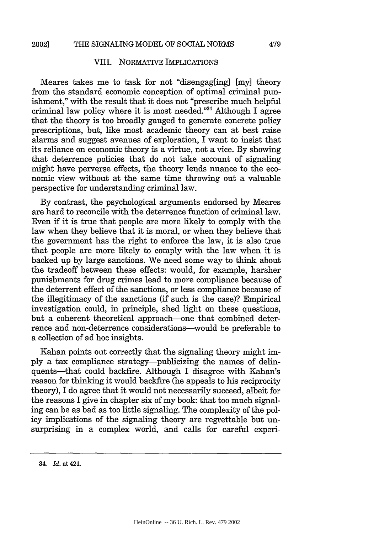### VIII. NORMATIVE IMPLICATIONS

Meares takes me to task for not "disengag[ing] [my] theory from the standard economic conception of optimal criminal punishment," with the result that it does not "prescribe much helpful criminal law policy where it is most needed."34 Although I agree that the theory is too broadly gauged to generate concrete policy prescriptions, but, like most academic theory can at best raise alarms and suggest avenues of exploration, I want to insist that its reliance on economic theory is a virtue, not a vice. By showing that deterrence policies that do not take account of signaling might have perverse effects, the theory lends nuance to the economic view without at the same time throwing out a valuable perspective for understanding criminal law.

By contrast, the psychological arguments endorsed by Meares are hard to reconcile with the deterrence function of criminal law. Even if it is true that people are more likely to comply with the law when they believe that it is moral, or when they believe that the government has the right to enforce the law, it is also true that people are more likely to comply with the law when it is backed up by large sanctions. We need some way to think about the tradeoff between these effects: would, for example, harsher punishments for drug crimes lead to more compliance because of the deterrent effect of the sanctions, or less compliance because of the illegitimacy of the sanctions (if such is the case)? Empirical investigation could, in principle, shed light on these questions, but a coherent theoretical approach-one that combined deterrence and non-deterrence considerations-would be preferable to a collection of ad hoc insights.

Kahan points out correctly that the signaling theory might imply a tax compliance strategy-publicizing the names of delinquents-that could backfire. Although I disagree with Kahan's reason for thinking it would backfire (he appeals to his reciprocity theory), I do agree that it would not necessarily succeed, albeit for the reasons I give in chapter six of my book: that too much signaling can be as bad as too little signaling. The complexity of the policy implications of the signaling theory are regrettable but unsurprising in a complex world, and calls for careful experi-

*<sup>34.</sup> Id.* at 421.